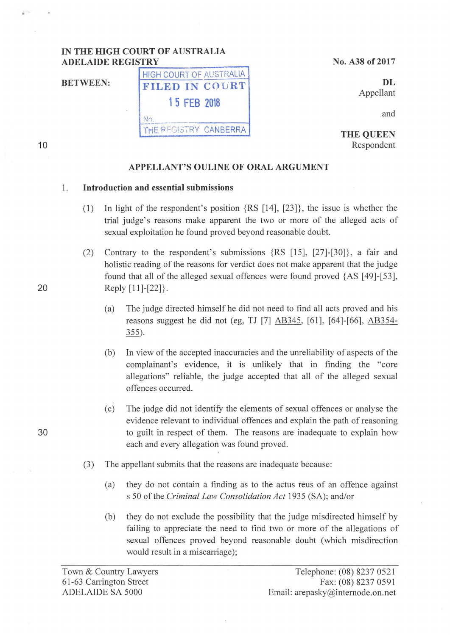## **IN THE HIGH COURT OF AUSTRALIA ADELAIDE REGISTRY**

HIGH COURT OF AUSTRALIA

**1 5 FEB 2018** 

<u>iNo.</u> THE REGISTRY CANBERRA

**BETWEEN:** FILED IN COURT

No. A38 of 2017

**DL**  Appellant

and

**THE QUEEN**  Respondent

#### **APPELLANT'S OULINE OF ORAL ARGUMENT**

#### **1. Introduction and essential submissions**

- (1) In light of the respondent's position {RS **[14],** [23]} , the issue is whether the trial judge's reasons make apparent the two or more of the alleged acts of sexual exploitation he found proved beyond reasonable doubt.
- (2) Contrary to the respondent's submissions {RS [15], [27]-[30]} , a fair and holistic reading of the reasons for verdict does not make apparent that the judge found that all of the alleged sexual offences were found proved {AS [49]-[53], 20 Reply [11]-[22].
	- (a) The judge directed himself he did not need to find all acts proved and his reasons suggest he did not (eg, TJ [7] AB345, [61], [64]-[66], AB354- 355).
	- (b) In view of the accepted inaccuracies and the unreliability of aspects of the complainant's evidence, it is unlikely that in finding the "core allegations" reliable, the judge accepted that all of the alleged sexual offences occurred.
- (c) The judge did not identify the elements of sexual offences or analyse the evidence relevant to individual offences and explain the path of reasoning 30 to guilt in respect of them. The reasons are inadequate to explain how each and every allegation was found proved.
	- (3) The appellant submits that the reasons are inadequate because:
		- (a) they do not contain a finding as to the actus reus of an offence against s 50 of the *Criminal Law Consolidation Act* 1935 (SA); and/or
		- (b) they do not exclude the possibility that the judge misdirected himself by failing to appreciate the need to find two or more of the allegations of sexual offences proved beyond reasonable doubt (which misdirection would result in a miscarriage);

**10**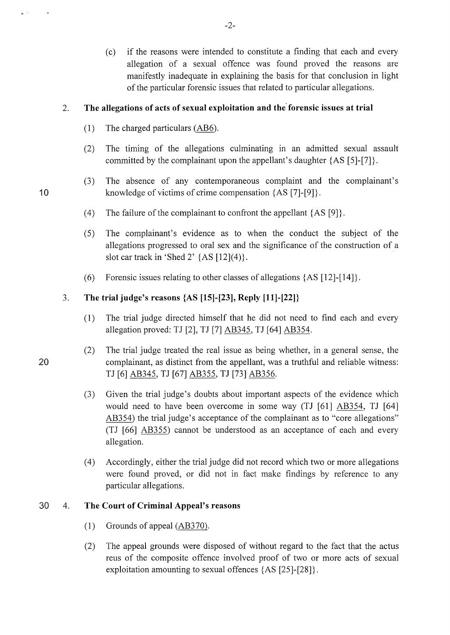(c) if the reasons were intended to constitute a finding that each and every allegation of a sexual offence was found proved the reasons are manifestly inadequate in explaining the basis for that conclusion in light of the particular forensic issues that related to particular allegations.

## 2. **The allegations of acts of sexual exploitation and the forensic issues at trial**

- (1) The charged particulars (AB6).
- (2) The timing of the allegations culminating in an admitted sexual assault committed by the complainant upon the appellant's daughter {AS [5]-[7]}.
- (3) The absence of any contemporaneous complaint and the complainant's 10 knowledge of victims of crime compensation  ${AS [7]-[9]}$ .
	- (4) The failure of the complainant to confront the appellant  ${AS [9]}$ .
	- (5) The complainant's evidence as to when the conduct the subject of the allegations progressed to oral sex and the significance of the construction of a slot car track in 'Shed 2'  ${AS [12](4)}$ .
	- (6) Forensic issues relating to other classes of allegations  $\{AS [12]-[14]\}.$

# 3. **The trial judge's reasons** {AS **[15]-[23], Reply [11]-[22]}**

- (1) The trial judge directed himself that he did not need to find each and every allegation proved: TJ [2], TJ [7] AB345, TJ [64] AB354.
- (2) The trial judge treated the real issue as being whether, in a general sense, the 20 complainant, as distinct from the appellant, was a truthful and reliable witness: TJ [6] AB345, TJ [67] AB355, TJ [73] AB356.
	- (3) Given the trial judge's doubts about important aspects of the evidence which would need to have been overcome in some way (TJ [61] AB354, TJ [64] AB354) the trial judge's acceptance of the complainant as to "core allegations" (TJ [66] AB355) cannot be understood as an acceptance of each and every allegation.
	- ( 4) Accordingly, either the trial judge did not record which two or more allegations were found proved, or did not in fact make findings by reference to any particular allegations.

#### 30 4. **The Court of Criminal Appeal's reasons**

- (1) Grounds of appeal  $(AB370)$ .
- (2) The appeal grounds were disposed of without regard to the fact that the actus reus of the composite offence involved proof of two or more acts of sexual exploitation amounting to sexual offences {AS [25]-[28]}.

 $\mathbf{g}^{(1)}$